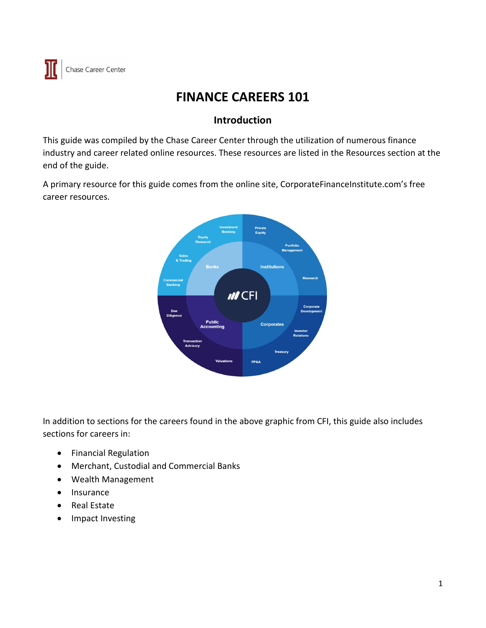# **FINANCE CAREERS 101**

# **Introduction**

This guide was compiled by the Chase Career Center through the utilization of numerous finance industry and career related online resources. These resources are listed in the Resources section at the end of the guide.

A primary resource for this guide comes from the online site, CorporateFinanceInstitute.com's free career resources.



In addition to sections for the careers found in the above graphic from CFI, this guide also includes sections for careers in:

- Financial Regulation
- Merchant, Custodial and Commercial Banks
- Wealth Management
- Insurance
- Real Estate
- Impact Investing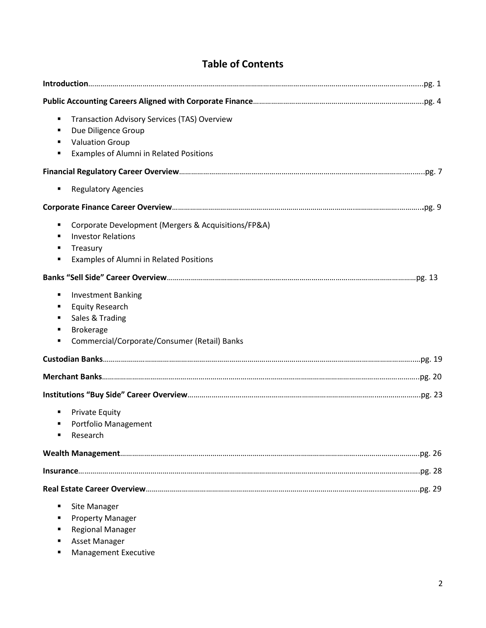# **Table of Contents**

| <b>Transaction Advisory Services (TAS) Overview</b><br>٠<br>Due Diligence Group<br><b>Valuation Group</b><br>٠<br>Examples of Alumni in Related Positions<br>٠ |  |
|----------------------------------------------------------------------------------------------------------------------------------------------------------------|--|
|                                                                                                                                                                |  |
| <b>Regulatory Agencies</b><br>٠                                                                                                                                |  |
|                                                                                                                                                                |  |
| Corporate Development (Mergers & Acquisitions/FP&A)<br>٠<br><b>Investor Relations</b><br>Treasury<br>٠<br>Examples of Alumni in Related Positions<br>٠         |  |
|                                                                                                                                                                |  |
| <b>Investment Banking</b><br>٠<br><b>Equity Research</b><br>٠<br>Sales & Trading<br>٠<br><b>Brokerage</b><br>٠<br>Commercial/Corporate/Consumer (Retail) Banks |  |
|                                                                                                                                                                |  |
|                                                                                                                                                                |  |
|                                                                                                                                                                |  |
| <b>Private Equity</b><br>٠<br>Portfolio Management<br>٠<br>Research                                                                                            |  |
|                                                                                                                                                                |  |
|                                                                                                                                                                |  |
|                                                                                                                                                                |  |
| Site Manager<br>п<br><b>Property Manager</b><br><b>Regional Manager</b><br>Asset Manager                                                                       |  |

Management Executive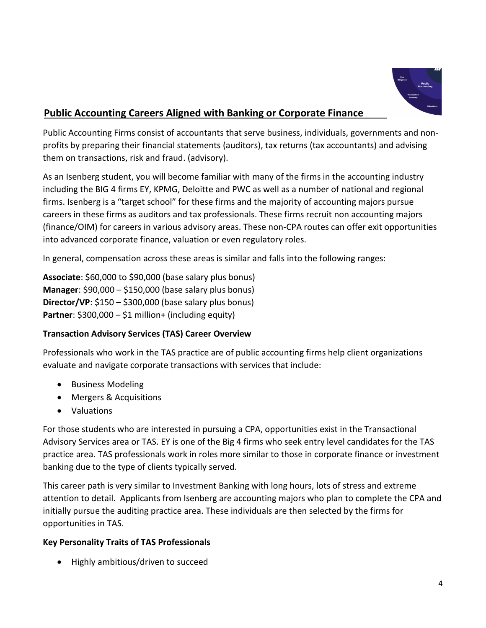

# **Public Accounting Careers Aligned with Banking or Corporate Finance**

Public Accounting Firms consist of accountants that serve business, individuals, governments and nonprofits by preparing their financial statements (auditors), tax returns (tax accountants) and advising them on transactions, risk and fraud. (advisory).

As an Isenberg student, you will become familiar with many of the firms in the accounting industry including the BIG 4 firms EY, KPMG, Deloitte and PWC as well as a number of national and regional firms. Isenberg is a "target school" for these firms and the majority of accounting majors pursue careers in these firms as auditors and tax professionals. These firms recruit non accounting majors (finance/OIM) for careers in various advisory areas. These non-CPA routes can offer exit opportunities into advanced corporate finance, valuation or even regulatory roles.

In general, compensation across these areas is similar and falls into the following ranges:

**Associate**: \$60,000 to \$90,000 (base salary plus bonus) **Manager**: \$90,000 – \$150,000 (base salary plus bonus) **Director/VP**: \$150 – \$300,000 (base salary plus bonus) **Partner**: \$300,000 – \$1 million+ (including equity)

### **Transaction Advisory Services (TAS) Career Overview**

Professionals who work in the TAS practice are of public accounting firms help client organizations evaluate and navigate corporate transactions with services that include:

- Business Modeling
- Mergers & Acquisitions
- Valuations

For those students who are interested in pursuing a CPA, opportunities exist in the Transactional Advisory Services area or TAS. EY is one of the Big 4 firms who seek entry level candidates for the TAS practice area. TAS professionals work in roles more similar to those in corporate finance or investment banking due to the type of clients typically served.

This career path is very similar to Investment Banking with long hours, lots of stress and extreme attention to detail. Applicants from Isenberg are accounting majors who plan to complete the CPA and initially pursue the auditing practice area. These individuals are then selected by the firms for opportunities in TAS.

### **Key Personality Traits of TAS Professionals**

• Highly ambitious/driven to succeed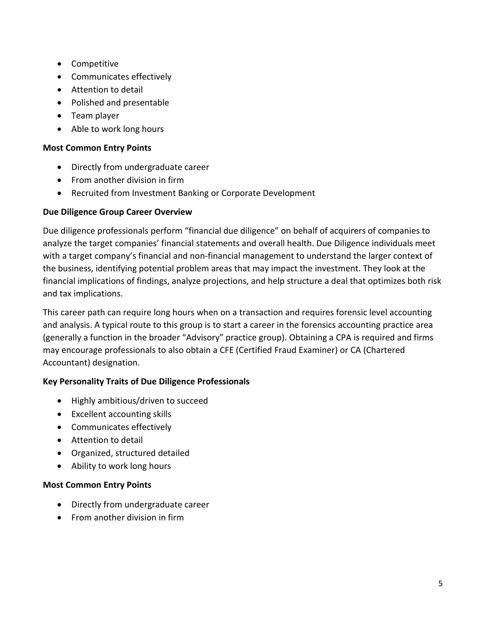- Competitive
- Communicates effectively
- Attention to detail
- Polished and presentable
- Team player
- Able to work long hours

### **Most Common Entry Points**

- Directly from undergraduate career
- From another division in firm
- Recruited from Investment Banking or Corporate Development

### **Due Diligence Group Career Overview**

Due diligence professionals perform "financial due diligence" on behalf of acquirers of companies to analyze the target companies' financial statements and overall health. Due Diligence individuals meet with a target company's financial and non-financial management to understand the larger context of the business, identifying potential problem areas that may impact the investment. They look at the financial implications of findings, analyze projections, and help structure a deal that optimizes both risk and tax implications.

This career path can require long hours when on a transaction and requires forensic level accounting and analysis. A typical route to this group is to start a career in the forensics accounting practice area (generally a function in the broader "Advisory" practice group). Obtaining a CPA is required and firms may encourage professionals to also obtain a CFE (Certified Fraud Examiner) or CA (Chartered Accountant) designation.

### **Key Personality Traits of Due Diligence Professionals**

- Highly ambitious/driven to succeed
- Excellent accounting skills
- Communicates effectively
- Attention to detail
- Organized, structured detailed
- Ability to work long hours

### **Most Common Entry Points**

- Directly from undergraduate career
- From another division in firm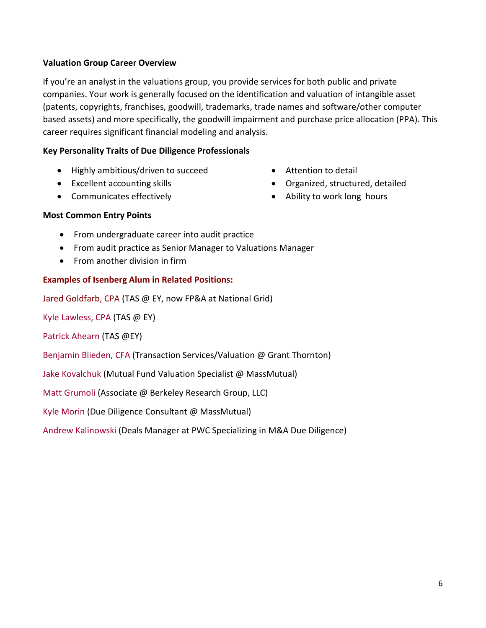### **Valuation Group Career Overview**

If you're an analyst in the valuations group, you provide services for both public and private companies. Your work is generally focused on the identification and valuation of intangible asset (patents, copyrights, franchises, goodwill, trademarks, trade names and software/other computer based assets) and more specifically, the goodwill impairment and purchase price allocation (PPA). This career requires significant financial modeling and analysis.

### **Key Personality Traits of Due Diligence Professionals**

- Highly ambitious/driven to succeed
- Excellent accounting skills
- Communicates effectively
- Attention to detail
- Organized, structured, detailed
- Ability to work long hours

#### **Most Common Entry Points**

- From undergraduate career into audit practice
- From audit practice as Senior Manager to Valuations Manager
- From another division in firm

#### **Examples of Isenberg Alum in Related Positions:**

Jared Goldfarb, CPA (TAS @ EY, now FP&A at National Grid)

Kyle Lawless, CPA (TAS @ EY)

Patrick Ahearn (TAS @EY)

Benjamin Blieden, CFA (Transaction Services/Valuation @ Grant Thornton)

Jake Kovalchuk (Mutual Fund Valuation Specialist @ MassMutual)

Matt Grumoli (Associate @ Berkeley Research Group, LLC)

Kyle Morin (Due Diligence Consultant @ MassMutual)

Andrew Kalinowski (Deals Manager at PWC Specializing in M&A Due Diligence)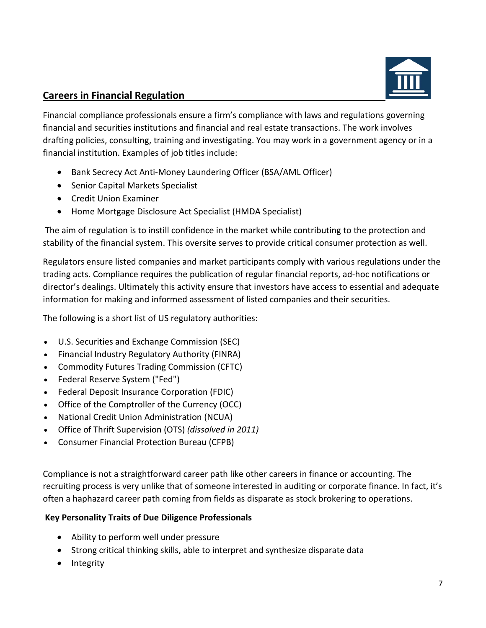

# **Careers in Financial Regulation**

Financial compliance professionals ensure a firm's compliance with laws and regulations governing financial and securities institutions and financial and real estate transactions. The work involves drafting policies, consulting, training and investigating. You may work in a government agency or in a financial institution. Examples of job titles include:

- Bank Secrecy Act Anti-Money Laundering Officer (BSA/AML Officer)
- Senior Capital Markets Specialist
- Credit Union Examiner
- Home Mortgage Disclosure Act Specialist (HMDA Specialist)

The aim of regulation is to instill confidence in the market while contributing to the protection and stability of the financial system. This oversite serves to provide critical consumer protection as well.

Regulators ensure listed companies and market participants comply with various regulations under the trading acts. Compliance requires the publication of regular financial reports, ad-hoc notifications or director's dealings. Ultimately this activity ensure that investors have access to essential and adequate information for making and informed assessment of listed companies and their securities.

The following is a short list of US regulatory authorities:

- [U.S. Securities and Exchange Commission](https://en.wikipedia.org/wiki/U.S._Securities_and_Exchange_Commission) (SEC)
- [Financial Industry Regulatory Authority](https://en.wikipedia.org/wiki/Financial_Industry_Regulatory_Authority) (FINRA)
- [Commodity Futures Trading Commission](https://en.wikipedia.org/wiki/Commodity_Futures_Trading_Commission) (CFTC)
- [Federal Reserve System](https://en.wikipedia.org/wiki/Federal_Reserve_System) ("Fed")
- [Federal Deposit Insurance Corporation](https://en.wikipedia.org/wiki/Federal_Deposit_Insurance_Corporation) (FDIC)
- [Office of the Comptroller of the Currency](https://en.wikipedia.org/wiki/Office_of_the_Comptroller_of_the_Currency) (OCC)
- [National Credit Union Administration](https://en.wikipedia.org/wiki/National_Credit_Union_Administration) (NCUA)
- [Office of Thrift Supervision](https://en.wikipedia.org/wiki/Office_of_Thrift_Supervision) (OTS) *(dissolved in 2011)*
- [Consumer Financial Protection Bureau](https://en.wikipedia.org/wiki/Consumer_Financial_Protection_Bureau) (CFPB)

Compliance is not a straightforward career path like other careers in finance or accounting. The recruiting process is very unlike that of someone interested in auditing or corporate finance. In fact, it's often a haphazard career path coming from fields as disparate as stock brokering to operations.

### **Key Personality Traits of Due Diligence Professionals**

- Ability to perform well under pressure
- Strong critical thinking skills, able to interpret and synthesize disparate data
- Integrity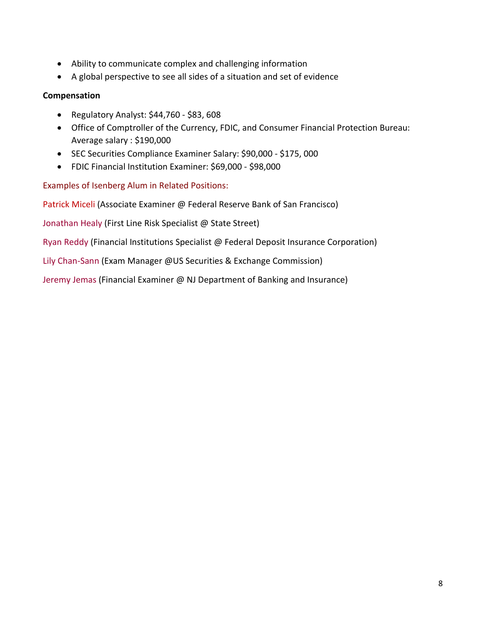- Ability to communicate complex and challenging information
- A global perspective to see all sides of a situation and set of evidence

### **Compensation**

- Regulatory Analyst: \$44,760 \$83, 608
- Office of Comptroller of the Currency, FDIC, and Consumer Financial Protection Bureau: Average salary : \$190,000
- SEC Securities Compliance Examiner Salary: \$90,000 \$175, 000
- FDIC Financial Institution Examiner: \$69,000 \$98,000

Examples of Isenberg Alum in Related Positions:

Patrick Miceli (Associate Examiner @ Federal Reserve Bank of San Francisco)

Jonathan Healy (First Line Risk Specialist @ State Street)

Ryan Reddy (Financial Institutions Specialist @ Federal Deposit Insurance Corporation)

Lily Chan-Sann (Exam Manager @US Securities & Exchange Commission)

Jeremy Jemas (Financial Examiner @ NJ Department of Banking and Insurance)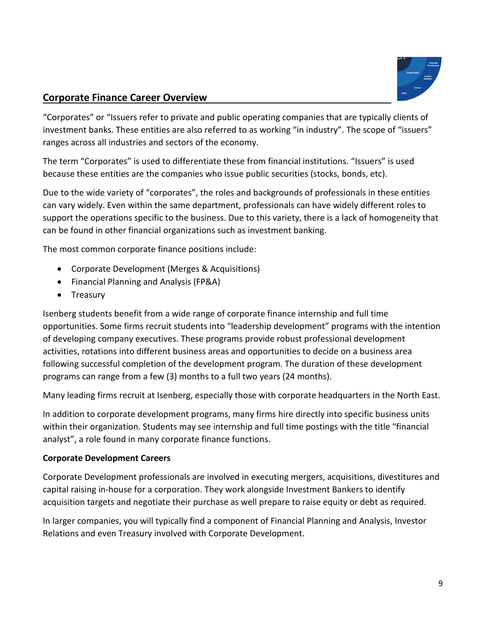

### **Corporate Finance Career Overview**

"Corporates" or "Issuers refer to private and public operating companies that are typically clients of investment banks. These entities are also referred to as working "in industry". The scope of "issuers" ranges across all industries and sectors of the economy.

The term "Corporates" is used to differentiate these from financial institutions. "Issuers" is used because these entities are the companies who issue public securities (stocks, bonds, etc).

Due to the wide variety of "corporates", the roles and backgrounds of professionals in these entities can vary widely. Even within the same department, professionals can have widely different roles to support the operations specific to the business. Due to this variety, there is a lack of homogeneity that can be found in other financial organizations such as investment banking.

The most common corporate finance positions include:

- Corporate Development (Merges & Acquisitions)
- Financial Planning and Analysis (FP&A)
- Treasury

Isenberg students benefit from a wide range of corporate finance internship and full time opportunities. Some firms recruit students into "leadership development" programs with the intention of developing company executives. These programs provide robust professional development activities, rotations into different business areas and opportunities to decide on a business area following successful completion of the development program. The duration of these development programs can range from a few (3) months to a full two years (24 months).

Many leading firms recruit at Isenberg, especially those with corporate headquarters in the North East.

In addition to corporate development programs, many firms hire directly into specific business units within their organization. Students may see internship and full time postings with the title "financial analyst", a role found in many corporate finance functions.

### **Corporate Development Careers**

Corporate Development professionals are involved in executing mergers, acquisitions, divestitures and capital raising in-house for a corporation. They work alongside Investment Bankers to identify acquisition targets and negotiate their purchase as well prepare to raise equity or debt as required.

In larger companies, you will typically find a component of Financial Planning and Analysis, Investor Relations and even Treasury involved with Corporate Development.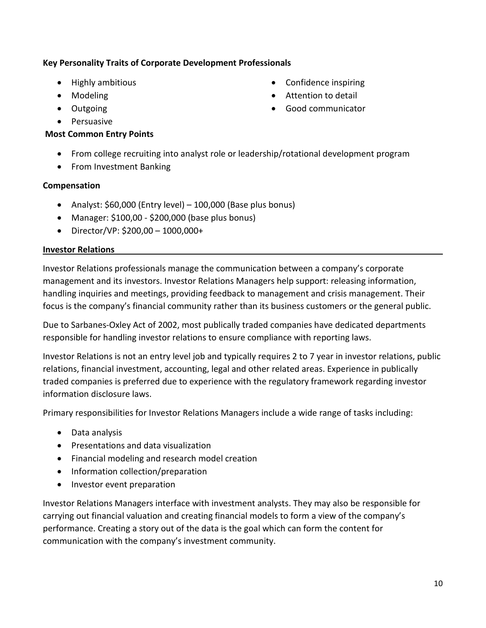### **Key Personality Traits of Corporate Development Professionals**

- Highly ambitious
- Modeling
- Outgoing
- Persuasive

### **Most Common Entry Points**

- Confidence inspiring
- Attention to detail
- Good communicator
- From college recruiting into analyst role or leadership/rotational development program
- From Investment Banking

### **Compensation**

- Analyst: \$60,000 (Entry level) 100,000 (Base plus bonus)
- Manager: \$100,00 \$200,000 (base plus bonus)
- Director/VP: \$200,00 1000,000+

#### **Investor Relations**

Investor Relations professionals manage the communication between a company's corporate management and its investors. Investor Relations Managers help support: releasing information, handling inquiries and meetings, providing feedback to management and crisis management. Their focus is the company's financial community rather than its business customers or the general public.

Due to Sarbanes-Oxley Act of 2002, most publically traded companies have dedicated departments responsible for handling investor relations to ensure compliance with reporting laws.

Investor Relations is not an entry level job and typically requires 2 to 7 year in investor relations, public relations, financial investment, accounting, legal and other related areas. Experience in publically traded companies is preferred due to experience with the regulatory framework regarding investor information disclosure laws.

Primary responsibilities for Investor Relations Managers include a wide range of tasks including:

- Data analysis
- Presentations and data visualization
- Financial modeling and research model creation
- Information collection/preparation
- Investor event preparation

Investor Relations Managers interface with investment analysts. They may also be responsible for carrying out financial valuation and creating financial models to form a view of the company's performance. Creating a story out of the data is the goal which can form the content for communication with the company's investment community.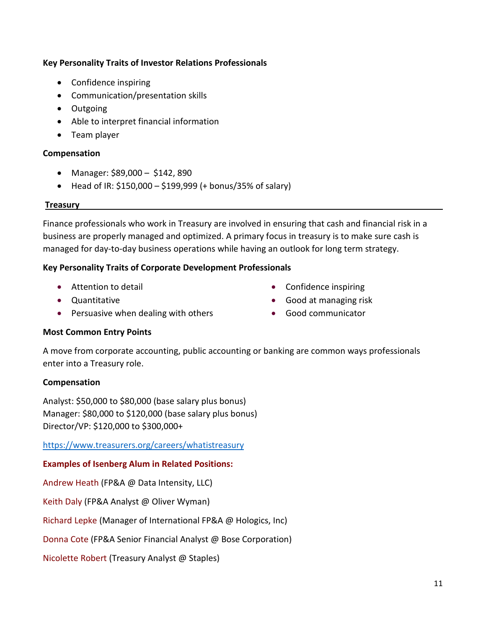### **Key Personality Traits of Investor Relations Professionals**

- Confidence inspiring
- Communication/presentation skills
- Outgoing
- Able to interpret financial information
- Team player

### **Compensation**

- Manager: \$89,000 \$142, 890
- Head of IR:  $$150,000 $199,999$  (+ bonus/35% of salary)

#### **Treasury**

Finance professionals who work in Treasury are involved in ensuring that cash and financial risk in a business are properly managed and optimized. A primary focus in treasury is to make sure cash is managed for day-to-day business operations while having an outlook for long term strategy.

#### **Key Personality Traits of Corporate Development Professionals**

- Attention to detail
- Quantitative
- Persuasive when dealing with others
- Confidence inspiring
- Good at managing risk
- Good communicator

### **Most Common Entry Points**

A move from corporate accounting, public accounting or banking are common ways professionals enter into a Treasury role.

### **Compensation**

Analyst: \$50,000 to \$80,000 (base salary plus bonus) Manager: \$80,000 to \$120,000 (base salary plus bonus) Director/VP: \$120,000 to \$300,000+

<https://www.treasurers.org/careers/whatistreasury>

### **Examples of Isenberg Alum in Related Positions:**

Andrew Heath (FP&A @ Data Intensity, LLC)

Keith Daly (FP&A Analyst @ Oliver Wyman)

Richard Lepke (Manager of International FP&A @ Hologics, Inc)

Donna Cote (FP&A Senior Financial Analyst @ Bose Corporation)

Nicolette Robert (Treasury Analyst @ Staples)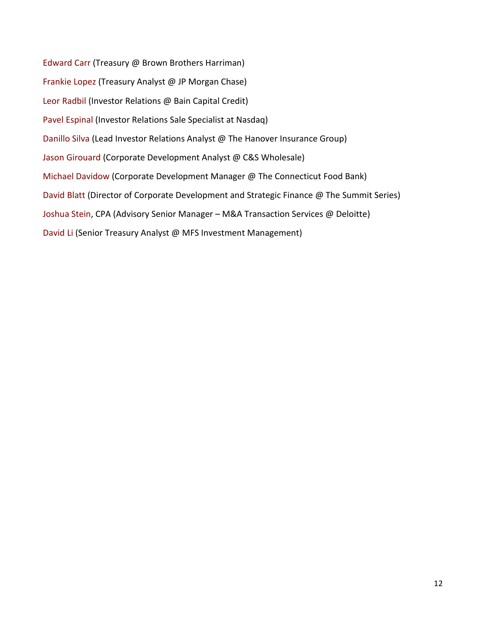Edward Carr (Treasury @ Brown Brothers Harriman) Frankie Lopez (Treasury Analyst @ JP Morgan Chase) Leor Radbil (Investor Relations @ Bain Capital Credit) Pavel Espinal (Investor Relations Sale Specialist at Nasdaq) Danillo Silva (Lead Investor Relations Analyst @ The Hanover Insurance Group) Jason Girouard (Corporate Development Analyst @ C&S Wholesale) Michael Davidow (Corporate Development Manager @ The Connecticut Food Bank) David Blatt (Director of Corporate Development and Strategic Finance @ The Summit Series) Joshua Stein, CPA (Advisory Senior Manager – M&A Transaction Services @ Deloitte) David Li (Senior Treasury Analyst @ MFS Investment Management)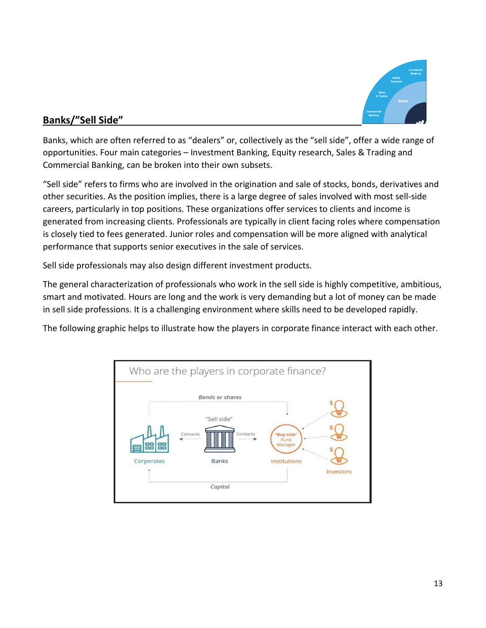

# **Banks/"Sell Side"**

Banks, which are often referred to as "dealers" or, collectively as the "sell side", offer a wide range of opportunities. Four main categories – Investment Banking, Equity research, Sales & Trading and Commercial Banking, can be broken into their own subsets.

"Sell side" refers to firms who are involved in the origination and sale of stocks, bonds, derivatives and other securities. As the position implies, there is a large degree of sales involved with most sell-side careers, particularly in top positions. These organizations offer services to clients and income is generated from increasing clients. Professionals are typically in client facing roles where compensation is closely tied to fees generated. Junior roles and compensation will be more aligned with analytical performance that supports senior executives in the sale of services.

Sell side professionals may also design different investment products.

The general characterization of professionals who work in the sell side is highly competitive, ambitious, smart and motivated. Hours are long and the work is very demanding but a lot of money can be made in sell side professions. It is a challenging environment where skills need to be developed rapidly.

The following graphic helps to illustrate how the players in corporate finance interact with each other.

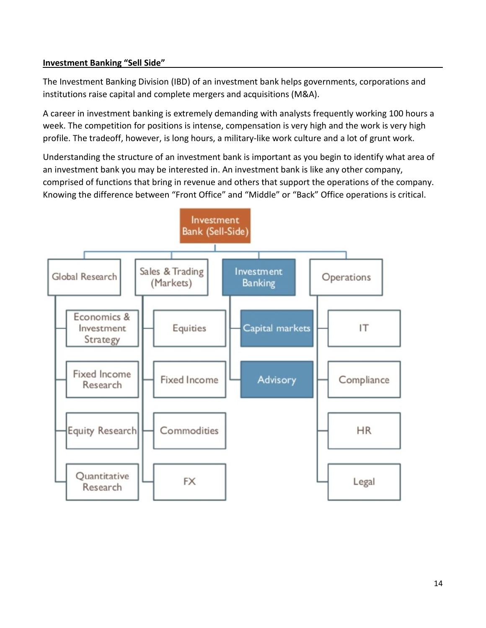### **Investment Banking "Sell Side"**

The Investment Banking Division (IBD) of an investment bank helps governments, corporations and institutions raise capital and complete mergers and acquisitions (M&A).

A career in investment banking is extremely demanding with analysts frequently working 100 hours a week. The competition for positions is intense, compensation is very high and the work is very high profile. The tradeoff, however, is long hours, a military-like work culture and a lot of grunt work.

Understanding the structure of an investment bank is important as you begin to identify what area of an investment bank you may be interested in. An investment bank is like any other company, comprised of functions that bring in revenue and others that support the operations of the company. Knowing the difference between "Front Office" and "Middle" or "Back" Office operations is critical.

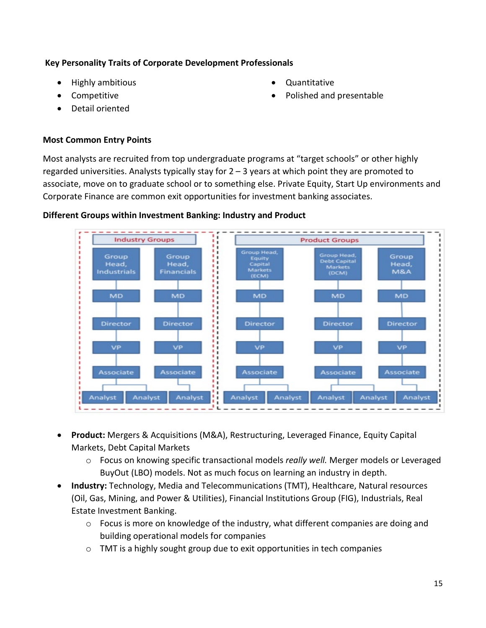### **Key Personality Traits of Corporate Development Professionals**

- Highly ambitious
- Competitive
- Detail oriented
- Quantitative
- Polished and presentable

### **Most Common Entry Points**

Most analysts are recruited from top undergraduate programs at "target schools" or other highly regarded universities. Analysts typically stay for  $2 - 3$  years at which point they are promoted to associate, move on to graduate school or to something else. Private Equity, Start Up environments and Corporate Finance are common exit opportunities for investment banking associates.





- **Product:** Mergers & Acquisitions (M&A), Restructuring, Leveraged Finance, Equity Capital Markets, Debt Capital Markets
	- o Focus on knowing specific transactional models *really well.* Merger models or Leveraged BuyOut (LBO) models. Not as much focus on learning an industry in depth.
- **Industry:** Technology, Media and Telecommunications (TMT), Healthcare, Natural resources (Oil, Gas, Mining, and Power & Utilities), Financial Institutions Group (FIG), Industrials, Real Estate Investment Banking.
	- o Focus is more on knowledge of the industry, what different companies are doing and building operational models for companies
	- o TMT is a highly sought group due to exit opportunities in tech companies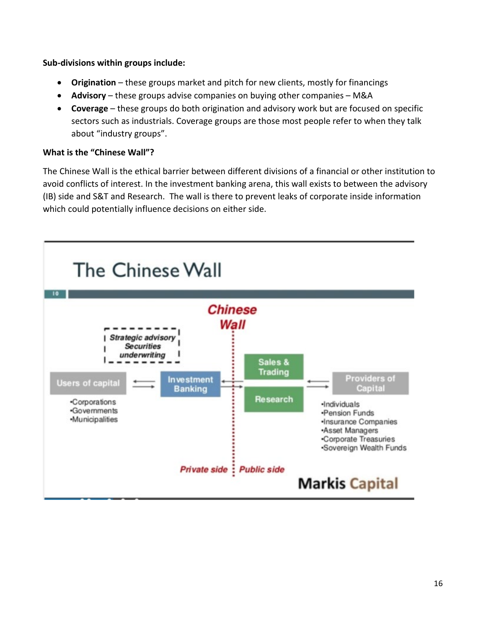### **Sub-divisions within groups include:**

- **Origination**  these groups market and pitch for new clients, mostly for financings
- **Advisory** these groups advise companies on buying other companies M&A
- **Coverage**  these groups do both origination and advisory work but are focused on specific sectors such as industrials. Coverage groups are those most people refer to when they talk about "industry groups".

### **What is the "Chinese Wall"?**

The Chinese Wall is the ethical barrier between different divisions of a financial or other institution to avoid conflicts of interest. In the investment banking arena, this wall exists to between the advisory (IB) side and S&T and Research. The wall is there to prevent leaks of corporate inside information which could potentially influence decisions on either side.

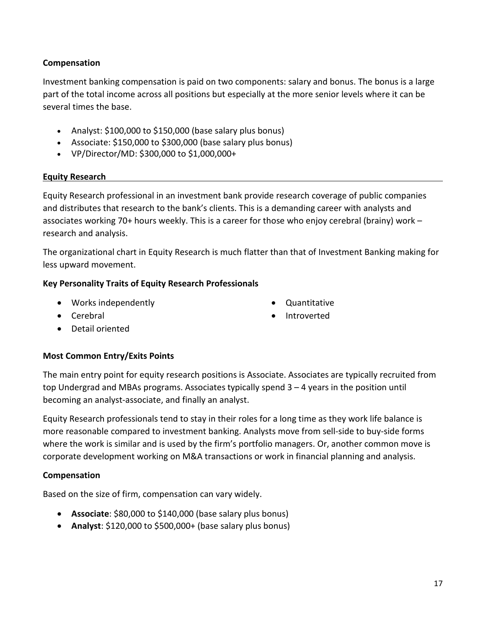### **Compensation**

Investment banking compensation is paid on two components: salary and bonus. The bonus is a large part of the total income across all positions but especially at the more senior levels where it can be several times the base.

- Analyst: \$100,000 to \$150,000 (base salary plus bonus)
- Associate: \$150,000 to \$300,000 (base salary plus bonus)
- VP/Director/MD: \$300,000 to \$1,000,000+

### **Equity Research**

Equity Research professional in an investment bank provide research coverage of public companies and distributes that research to the bank's clients. This is a demanding career with analysts and associates working 70+ hours weekly. This is a career for those who enjoy cerebral (brainy) work – research and analysis.

The organizational chart in Equity Research is much flatter than that of Investment Banking making for less upward movement.

### **Key Personality Traits of Equity Research Professionals**

- Works independently
- Cerebral
- Detail oriented

### **Most Common Entry/Exits Points**

The main entry point for equity research positions is Associate. Associates are typically recruited from top Undergrad and MBAs programs. Associates typically spend 3 – 4 years in the position until becoming an analyst-associate, and finally an analyst.

Equity Research professionals tend to stay in their roles for a long time as they work life balance is more reasonable compared to investment banking. Analysts move from sell-side to buy-side forms where the work is similar and is used by the firm's portfolio managers. Or, another common move is corporate development working on M&A transactions or work in financial planning and analysis.

### **Compensation**

Based on the size of firm, compensation can vary widely.

- **Associate**: \$80,000 to \$140,000 (base salary plus bonus)
- **Analyst**: \$120,000 to \$500,000+ (base salary plus bonus)
- Quantitative
- Introverted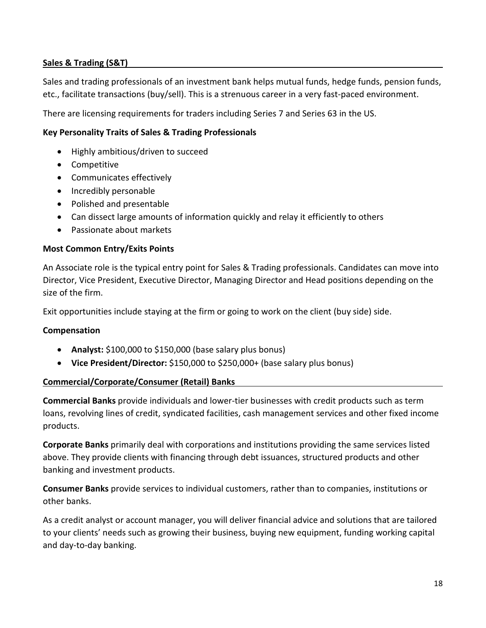### **Sales & Trading (S&T)**

Sales and trading professionals of an investment bank helps mutual funds, hedge funds, pension funds, etc., facilitate transactions (buy/sell). This is a strenuous career in a very fast-paced environment.

There are licensing requirements for traders including Series 7 and Series 63 in the US.

### **Key Personality Traits of Sales & Trading Professionals**

- Highly ambitious/driven to succeed
- Competitive
- Communicates effectively
- Incredibly personable
- Polished and presentable
- Can dissect large amounts of information quickly and relay it efficiently to others
- Passionate about markets

#### **Most Common Entry/Exits Points**

An Associate role is the typical entry point for Sales & Trading professionals. Candidates can move into Director, Vice President, Executive Director, Managing Director and Head positions depending on the size of the firm.

Exit opportunities include staying at the firm or going to work on the client (buy side) side.

#### **Compensation**

- **Analyst:** \$100,000 to \$150,000 (base salary plus bonus)
- **Vice President/Director:** \$150,000 to \$250,000+ (base salary plus bonus)

#### **Commercial/Corporate/Consumer (Retail) Banks**

**Commercial Banks** provide individuals and lower-tier businesses with credit products such as term loans, revolving lines of credit, syndicated facilities, cash management services and other fixed income products.

**Corporate Banks** primarily deal with corporations and institutions providing the same services listed above. They provide clients with financing through debt issuances, structured products and other banking and investment products.

**Consumer Banks** provide services to individual customers, rather than to companies, institutions or other banks.

As a credit analyst or account manager, you will deliver financial advice and solutions that are tailored to your clients' needs such as growing their business, buying new equipment, funding working capital and day-to-day banking.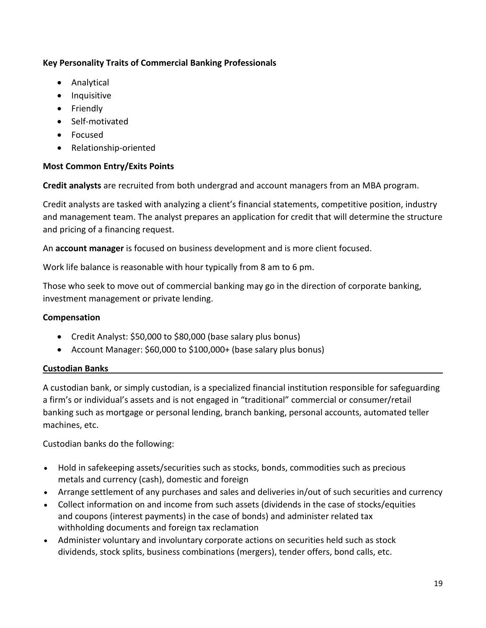### **Key Personality Traits of Commercial Banking Professionals**

- Analytical
- Inquisitive
- Friendly
- Self-motivated
- Focused
- Relationship-oriented

### **Most Common Entry/Exits Points**

**Credit analysts** are recruited from both undergrad and account managers from an MBA program.

Credit analysts are tasked with analyzing a client's financial statements, competitive position, industry and management team. The analyst prepares an application for credit that will determine the structure and pricing of a financing request.

An **account manager** is focused on business development and is more client focused.

Work life balance is reasonable with hour typically from 8 am to 6 pm.

Those who seek to move out of commercial banking may go in the direction of corporate banking, investment management or private lending.

### **Compensation**

- Credit Analyst: \$50,000 to \$80,000 (base salary plus bonus)
- Account Manager: \$60,000 to \$100,000+ (base salary plus bonus)

### **Custodian Banks**

A custodian bank, or simply custodian, is a specialized financial institution responsible for safeguarding a firm's or individual's assets and is not engaged in "traditional" commercial or consumer/retail banking such as mortgage or personal lending, branch banking, personal accounts, automated teller machines, etc.

Custodian banks do the following:

- Hold in safekeeping assets/securities such as [stocks,](https://en.wikipedia.org/wiki/Equities) [bonds,](https://en.wikipedia.org/wiki/Bond_(finance)) [commodities](https://en.wikipedia.org/wiki/Commodities) such as [precious](https://en.wikipedia.org/wiki/Precious_metals)  [metals](https://en.wikipedia.org/wiki/Precious_metals) and [currency](https://en.wikipedia.org/wiki/Currency) (cash), domestic and foreign
- Arrange [settlement](https://en.wikipedia.org/wiki/Settlement_(finance)) of any purchases and sales and deliveries in/out of such securities and currency
- Collect information on and income from such assets [\(dividends](https://en.wikipedia.org/wiki/Dividend) in the case of stocks/equities and [coupons](https://en.wikipedia.org/wiki/Coupon_(bond)) (interest payments) in the case of bonds) and administer related [tax](https://en.wikipedia.org/wiki/Tax_withholding)  [withholding](https://en.wikipedia.org/wiki/Tax_withholding) documents and foreign tax reclamation
- Administer voluntary and involuntary [corporate actions](https://en.wikipedia.org/wiki/Corporate_action) on securities held such as stock dividends, [stock splits,](https://en.wikipedia.org/wiki/Stock_split) business combinations [\(mergers\)](https://en.wikipedia.org/wiki/Mergers), [tender offers,](https://en.wikipedia.org/wiki/Tender_offers) [bond calls,](https://en.wikipedia.org/wiki/Callable_bond) etc.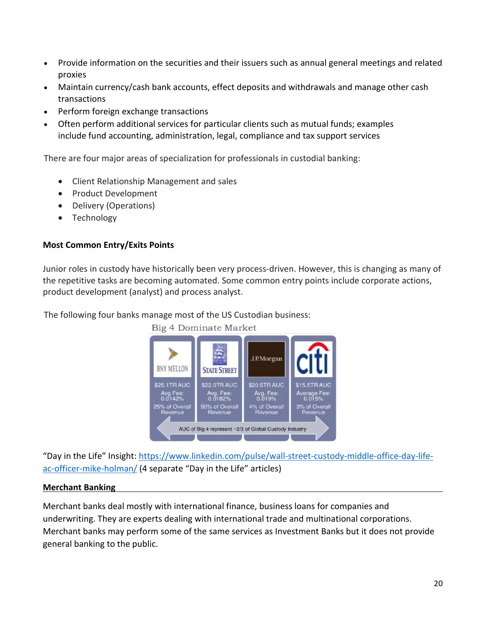- Provide information on the securities and their issuers such as annual general meetings and related proxies
- Maintain currency/cash bank accounts, effect deposits and withdrawals and manage other cash transactions
- Perform [foreign exchange](https://en.wikipedia.org/wiki/Foreign_exchange_market) transactions
- Often perform additional services for particular clients such as mutual funds; examples include [fund accounting,](https://en.wikipedia.org/wiki/Fund_accounting) administration, legal, compliance and tax support services

There are four major areas of specialization for professionals in custodial banking:

- Client Relationship Management and sales
- Product Development
- Delivery (Operations)
- Technology

### **Most Common Entry/Exits Points**

Junior roles in custody have historically been very process-driven. However, this is changing as many of the repetitive tasks are becoming automated. Some common entry points include corporate actions, product development (analyst) and process analyst.

The following four banks manage most of the US Custodian business:



"Day in the Life" Insight: [https://www.linkedin.com/pulse/wall-street-custody-middle-office-day-life](https://www.linkedin.com/pulse/wall-street-custody-middle-office-day-life-ac-officer-mike-holman/)[ac-officer-mike-holman/](https://www.linkedin.com/pulse/wall-street-custody-middle-office-day-life-ac-officer-mike-holman/) (4 separate "Day in the Life" articles)

### **Merchant Banking**

Merchant banks deal mostly with international finance, business loans for companies and underwriting. They are experts dealing with international trade and multinational corporations. Merchant banks may perform some of the same services as Investment Banks but it does not provide general banking to the public.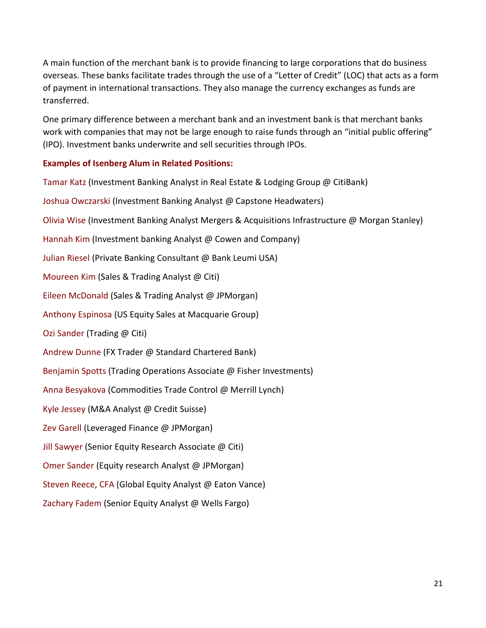A main function of the merchant bank is to provide financing to large corporations that do business overseas. These banks facilitate trades through the use of a "Letter of Credit" (LOC) that acts as a form of payment in international transactions. They also manage the currency exchanges as funds are transferred.

One primary difference between a merchant bank and an investment bank is that merchant banks work with companies that may not be large enough to raise funds through an "initial public offering" (IPO). Investment banks underwrite and sell securities through IPOs.

### **Examples of Isenberg Alum in Related Positions:**

Tamar Katz (Investment Banking Analyst in Real Estate & Lodging Group @ CitiBank) Joshua Owczarski (Investment Banking Analyst @ Capstone Headwaters) Olivia Wise (Investment Banking Analyst Mergers & Acquisitions Infrastructure @ Morgan Stanley) Hannah Kim (Investment banking Analyst @ Cowen and Company) Julian Riesel (Private Banking Consultant @ Bank Leumi USA) Moureen Kim (Sales & Trading Analyst @ Citi) Eileen McDonald (Sales & Trading Analyst @ JPMorgan) Anthony Espinosa (US Equity Sales at Macquarie Group) Ozi Sander (Trading @ Citi) Andrew Dunne (FX Trader @ Standard Chartered Bank) Benjamin Spotts (Trading Operations Associate @ Fisher Investments) Anna Besyakova (Commodities Trade Control @ Merrill Lynch) Kyle Jessey (M&A Analyst @ Credit Suisse) Zev Garell (Leveraged Finance @ JPMorgan) Jill Sawyer (Senior Equity Research Associate @ Citi) Omer Sander (Equity research Analyst @ JPMorgan) Steven Reece, CFA (Global Equity Analyst @ Eaton Vance) Zachary Fadem (Senior Equity Analyst @ Wells Fargo)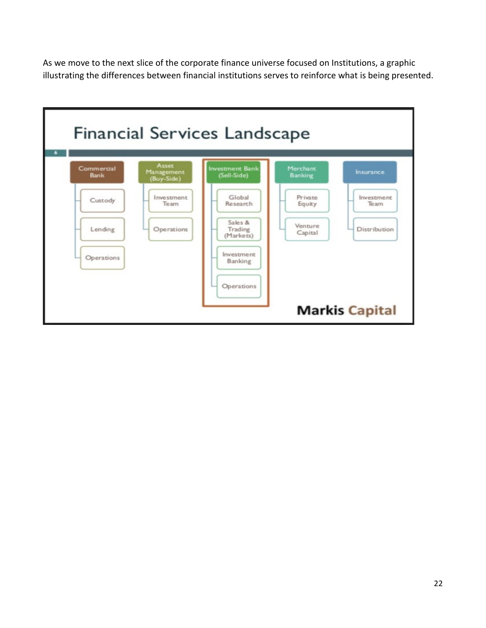As we move to the next slice of the corporate finance universe focused on Institutions, a graphic illustrating the differences between financial institutions serves to reinforce what is being presented.

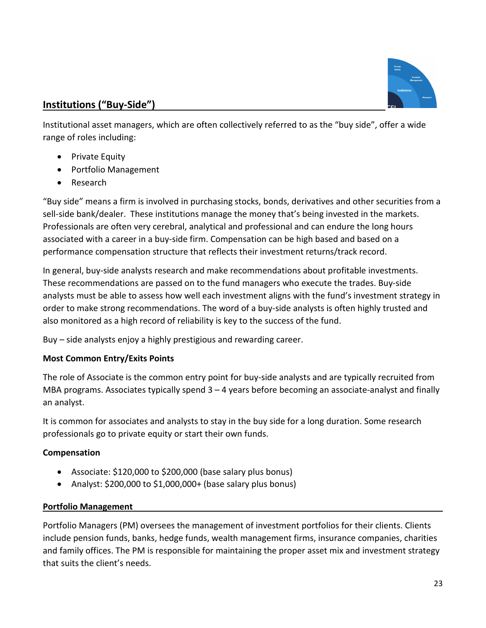

## **Institutions ("Buy-Side")**

Institutional asset managers, which are often collectively referred to as the "buy side", offer a wide range of roles including:

- Private Equity
- Portfolio Management
- Research

"Buy side" means a firm is involved in purchasing stocks, bonds, derivatives and other securities from a sell-side bank/dealer. These institutions manage the money that's being invested in the markets. Professionals are often very cerebral, analytical and professional and can endure the long hours associated with a career in a buy-side firm. Compensation can be high based and based on a performance compensation structure that reflects their investment returns/track record.

In general, buy-side analysts research and make recommendations about profitable investments. These recommendations are passed on to the fund managers who execute the trades. Buy-side analysts must be able to assess how well each investment aligns with the fund's investment strategy in order to make strong recommendations. The word of a buy-side analysts is often highly trusted and also monitored as a high record of reliability is key to the success of the fund.

Buy – side analysts enjoy a highly prestigious and rewarding career.

### **Most Common Entry/Exits Points**

The role of Associate is the common entry point for buy-side analysts and are typically recruited from MBA programs. Associates typically spend  $3 - 4$  years before becoming an associate-analyst and finally an analyst.

It is common for associates and analysts to stay in the buy side for a long duration. Some research professionals go to private equity or start their own funds.

### **Compensation**

- Associate: \$120,000 to \$200,000 (base salary plus bonus)
- Analyst: \$200,000 to \$1,000,000+ (base salary plus bonus)

### **Portfolio Management**

Portfolio Managers (PM) oversees the management of investment portfolios for their clients. Clients include pension funds, banks, hedge funds, wealth management firms, insurance companies, charities and family offices. The PM is responsible for maintaining the proper asset mix and investment strategy that suits the client's needs.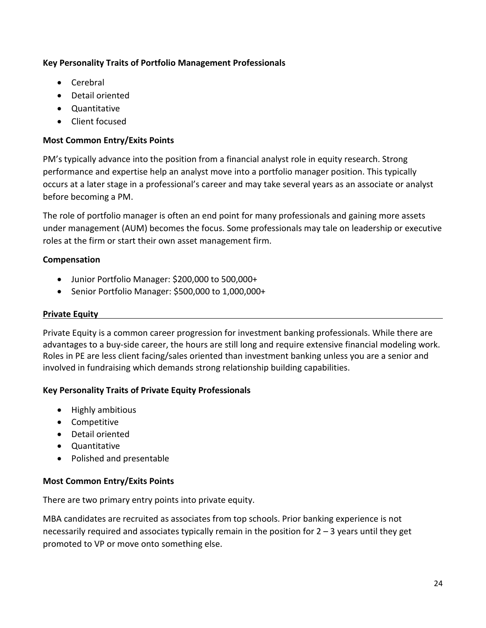### **Key Personality Traits of Portfolio Management Professionals**

- Cerebral
- Detail oriented
- Quantitative
- Client focused

### **Most Common Entry/Exits Points**

PM's typically advance into the position from a financial analyst role in equity research. Strong performance and expertise help an analyst move into a portfolio manager position. This typically occurs at a later stage in a professional's career and may take several years as an associate or analyst before becoming a PM.

The role of portfolio manager is often an end point for many professionals and gaining more assets under management (AUM) becomes the focus. Some professionals may tale on leadership or executive roles at the firm or start their own asset management firm.

### **Compensation**

- Junior Portfolio Manager: \$200,000 to 500,000+
- Senior Portfolio Manager: \$500,000 to 1,000,000+

### **Private Equity**

Private Equity is a common career progression for investment banking professionals. While there are advantages to a buy-side career, the hours are still long and require extensive financial modeling work. Roles in PE are less client facing/sales oriented than investment banking unless you are a senior and involved in fundraising which demands strong relationship building capabilities.

### **Key Personality Traits of Private Equity Professionals**

- Highly ambitious
- Competitive
- Detail oriented
- Quantitative
- Polished and presentable

### **Most Common Entry/Exits Points**

There are two primary entry points into private equity.

MBA candidates are recruited as associates from top schools. Prior banking experience is not necessarily required and associates typically remain in the position for 2 – 3 years until they get promoted to VP or move onto something else.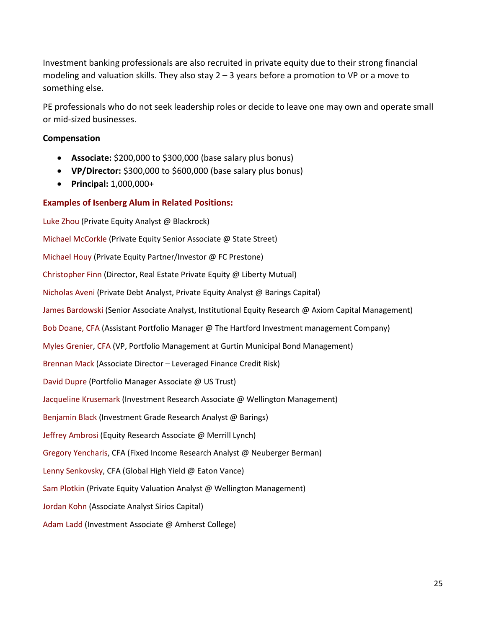Investment banking professionals are also recruited in private equity due to their strong financial modeling and valuation skills. They also stay 2 – 3 years before a promotion to VP or a move to something else.

PE professionals who do not seek leadership roles or decide to leave one may own and operate small or mid-sized businesses.

#### **Compensation**

- **Associate:** \$200,000 to \$300,000 (base salary plus bonus)
- **VP/Director:** \$300,000 to \$600,000 (base salary plus bonus)
- **Principal:** 1,000,000+

#### **Examples of Isenberg Alum in Related Positions:**

Luke Zhou (Private Equity Analyst @ Blackrock) Michael McCorkle (Private Equity Senior Associate @ State Street) Michael Houy (Private Equity Partner/Investor @ FC Prestone) Christopher Finn (Director, Real Estate Private Equity @ Liberty Mutual) Nicholas Aveni (Private Debt Analyst, Private Equity Analyst @ Barings Capital) James Bardowski (Senior Associate Analyst, Institutional Equity Research @ Axiom Capital Management) Bob Doane, CFA (Assistant Portfolio Manager @ The Hartford Investment management Company) Myles Grenier, CFA (VP, Portfolio Management at Gurtin Municipal Bond Management) Brennan Mack (Associate Director – Leveraged Finance Credit Risk) David Dupre (Portfolio Manager Associate @ US Trust) Jacqueline Krusemark (Investment Research Associate @ Wellington Management) Benjamin Black (Investment Grade Research Analyst @ Barings) Jeffrey Ambrosi (Equity Research Associate @ Merrill Lynch) Gregory Yencharis, CFA (Fixed Income Research Analyst @ Neuberger Berman) Lenny Senkovsky, CFA (Global High Yield @ Eaton Vance) Sam Plotkin (Private Equity Valuation Analyst @ Wellington Management) Jordan Kohn (Associate Analyst Sirios Capital) Adam Ladd (Investment Associate @ Amherst College)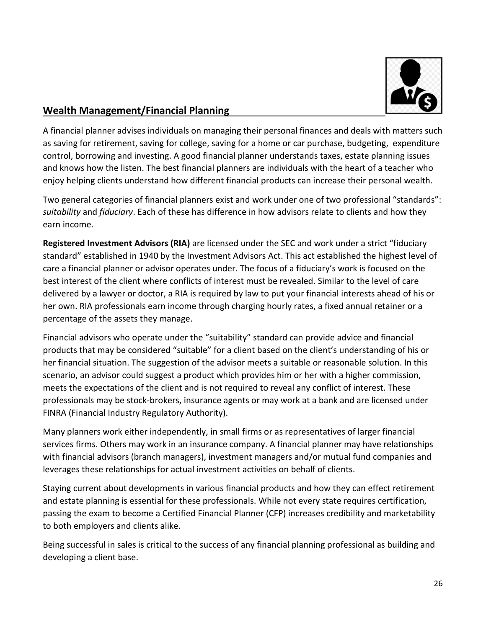

## **Wealth Management/Financial Planning**

A financial planner advises individuals on managing their personal finances and deals with matters such as saving for retirement, saving for college, saving for a home or car purchase, budgeting, expenditure control, borrowing and investing. A good financial planner understands taxes, estate planning issues and knows how the listen. The best financial planners are individuals with the heart of a teacher who enjoy helping clients understand how different financial products can increase their personal wealth.

Two general categories of financial planners exist and work under one of two professional "standards": *suitability* and *fiduciary*. Each of these has difference in how advisors relate to clients and how they earn income.

**Registered Investment Advisors (RIA)** are licensed under the SEC and work under a strict "fiduciary standard" established in 1940 by the Investment Advisors Act. This act established the highest level of care a financial planner or advisor operates under. The focus of a fiduciary's work is focused on the best interest of the client where conflicts of interest must be revealed. Similar to the level of care delivered by a lawyer or doctor, a RIA is required by law to put your financial interests ahead of his or her own. RIA professionals earn income through charging hourly rates, a fixed annual retainer or a percentage of the assets they manage.

Financial advisors who operate under the "suitability" standard can provide advice and financial products that may be considered "suitable" for a client based on the client's understanding of his or her financial situation. The suggestion of the advisor meets a suitable or reasonable solution. In this scenario, an advisor could suggest a product which provides him or her with a higher commission, meets the expectations of the client and is not required to reveal any conflict of interest. These professionals may be stock-brokers, insurance agents or may work at a bank and are licensed under FINRA (Financial Industry Regulatory Authority).

Many planners work either independently, in small firms or as representatives of larger financial services firms. Others may work in an insurance company. A financial planner may have relationships with financial advisors (branch managers), investment managers and/or mutual fund companies and leverages these relationships for actual investment activities on behalf of clients.

Staying current about developments in various financial products and how they can effect retirement and estate planning is essential for these professionals. While not every state requires certification, passing the exam to become a Certified Financial Planner (CFP) increases credibility and marketability to both employers and clients alike.

Being successful in sales is critical to the success of any financial planning professional as building and developing a client base.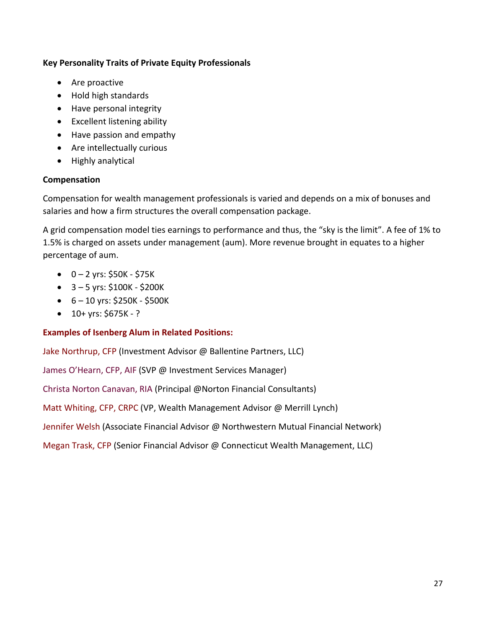### **Key Personality Traits of Private Equity Professionals**

- Are proactive
- Hold high standards
- Have personal integrity
- Excellent listening ability
- Have passion and empathy
- Are intellectually curious
- Highly analytical

### **Compensation**

Compensation for wealth management professionals is varied and depends on a mix of bonuses and salaries and how a firm structures the overall compensation package.

A grid compensation model ties earnings to performance and thus, the "sky is the limit". A fee of 1% to 1.5% is charged on assets under management (aum). More revenue brought in equates to a higher percentage of aum.

- $\bullet$  0 2 yrs: \$50K \$75K
- $\bullet$  3 5 yrs: \$100K \$200K
- $-6 10$  yrs: \$250K \$500K
- $\bullet$  10+ yrs: \$675K ?

### **Examples of Isenberg Alum in Related Positions:**

Jake Northrup, CFP (Investment Advisor @ Ballentine Partners, LLC)

James O'Hearn, CFP, AIF (SVP @ Investment Services Manager)

Christa Norton Canavan, RIA (Principal @Norton Financial Consultants)

Matt Whiting, CFP, CRPC (VP, Wealth Management Advisor @ Merrill Lynch)

Jennifer Welsh (Associate Financial Advisor @ Northwestern Mutual Financial Network)

Megan Trask, CFP (Senior Financial Advisor @ Connecticut Wealth Management, LLC)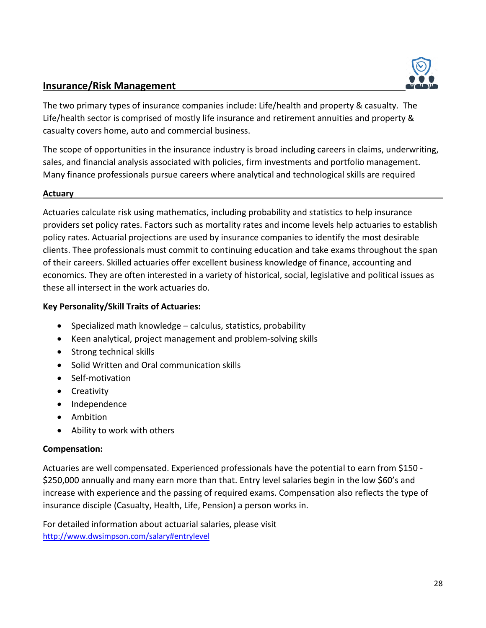### **Insurance/Risk Management**



The two primary types of insurance companies include: Life/health and property & casualty. The Life/health sector is comprised of mostly life insurance and retirement annuities and property & casualty covers home, auto and commercial business.

The scope of opportunities in the insurance industry is broad including careers in claims, underwriting, sales, and financial analysis associated with policies, firm investments and portfolio management. Many finance professionals pursue careers where analytical and technological skills are required

#### **Actuary**

Actuaries calculate risk using mathematics, including probability and statistics to help insurance providers set policy rates. Factors such as mortality rates and income levels help actuaries to establish policy rates. Actuarial projections are used by insurance companies to identify the most desirable clients. Thee professionals must commit to continuing education and take exams throughout the span of their careers. Skilled actuaries offer excellent business knowledge of finance, accounting and economics. They are often interested in a variety of historical, social, legislative and political issues as these all intersect in the work actuaries do.

#### **Key Personality/Skill Traits of Actuaries:**

- Specialized math knowledge calculus, statistics, probability
- Keen analytical, project management and problem-solving skills
- Strong technical skills
- Solid Written and Oral communication skills
- Self-motivation
- Creativity
- Independence
- Ambition
- Ability to work with others

#### **Compensation:**

Actuaries are well compensated. Experienced professionals have the potential to earn from \$150 - \$250,000 annually and many earn more than that. Entry level salaries begin in the low \$60's and increase with experience and the passing of required exams. Compensation also reflects the type of insurance disciple (Casualty, Health, Life, Pension) a person works in.

For detailed information about actuarial salaries, please visit <http://www.dwsimpson.com/salary#entrylevel>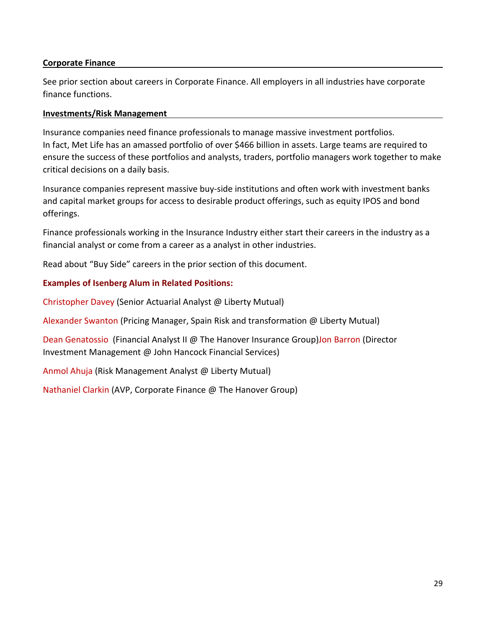### **Corporate Finance**

See prior section about careers in Corporate Finance. All employers in all industries have corporate finance functions.

#### **Investments/Risk Management**

Insurance companies need finance professionals to manage massive investment portfolios. In fact, Met Life has an amassed portfolio of over \$466 billion in assets. Large teams are required to ensure the success of these portfolios and analysts, traders, portfolio managers work together to make critical decisions on a daily basis.

Insurance companies represent massive buy-side institutions and often work with investment banks and capital market groups for access to desirable product offerings, such as equity IPOS and bond offerings.

Finance professionals working in the Insurance Industry either start their careers in the industry as a financial analyst or come from a career as a analyst in other industries.

Read about "Buy Side" careers in the prior section of this document.

#### **Examples of Isenberg Alum in Related Positions:**

Christopher Davey (Senior Actuarial Analyst @ Liberty Mutual)

Alexander Swanton (Pricing Manager, Spain Risk and transformation @ Liberty Mutual)

Dean Genatossio (Financial Analyst II @ The Hanover Insurance Group) Jon Barron (Director Investment Management @ John Hancock Financial Services)

Anmol Ahuja (Risk Management Analyst @ Liberty Mutual)

Nathaniel Clarkin (AVP, Corporate Finance @ The Hanover Group)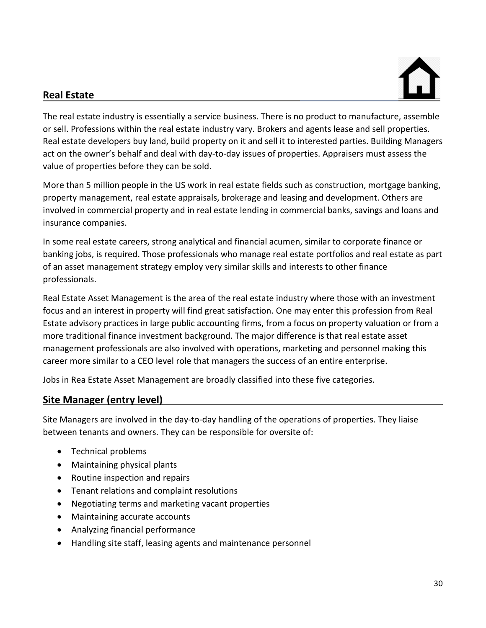# **Real Estate**



The real estate industry is essentially a service business. There is no product to manufacture, assemble or sell. Professions within the real estate industry vary. Brokers and agents lease and sell properties. Real estate developers buy land, build property on it and sell it to interested parties. Building Managers act on the owner's behalf and deal with day-to-day issues of properties. Appraisers must assess the value of properties before they can be sold.

More than 5 million people in the US work in real estate fields such as construction, mortgage banking, property management, real estate appraisals, brokerage and leasing and development. Others are involved in commercial property and in real estate lending in commercial banks, savings and loans and insurance companies.

In some real estate careers, strong analytical and financial acumen, similar to corporate finance or banking jobs, is required. Those professionals who manage real estate portfolios and real estate as part of an asset management strategy employ very similar skills and interests to other finance professionals.

Real Estate Asset Management is the area of the real estate industry where those with an investment focus and an interest in property will find great satisfaction. One may enter this profession from Real Estate advisory practices in large public accounting firms, from a focus on property valuation or from a more traditional finance investment background. The major difference is that real estate asset management professionals are also involved with operations, marketing and personnel making this career more similar to a CEO level role that managers the success of an entire enterprise.

Jobs in Rea Estate Asset Management are broadly classified into these five categories.

### **Site Manager (entry level)**

Site Managers are involved in the day-to-day handling of the operations of properties. They liaise between tenants and owners. They can be responsible for oversite of:

- Technical problems
- Maintaining physical plants
- Routine inspection and repairs
- Tenant relations and complaint resolutions
- Negotiating terms and marketing vacant properties
- Maintaining accurate accounts
- Analyzing financial performance
- Handling site staff, leasing agents and maintenance personnel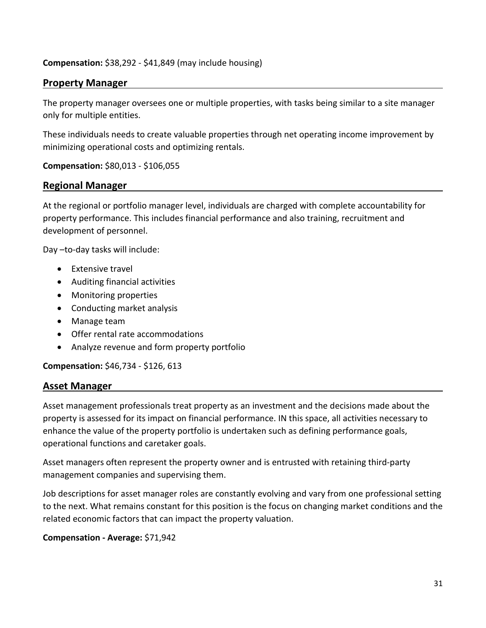#### **Compensation:** \$38,292 - \$41,849 (may include housing)

### **Property Manager**

The property manager oversees one or multiple properties, with tasks being similar to a site manager only for multiple entities.

These individuals needs to create valuable properties through net operating income improvement by minimizing operational costs and optimizing rentals.

#### **Compensation:** \$80,013 - \$106,055

#### **Regional Manager**

At the regional or portfolio manager level, individuals are charged with complete accountability for property performance. This includes financial performance and also training, recruitment and development of personnel.

Day –to-day tasks will include:

- Extensive travel
- Auditing financial activities
- Monitoring properties
- Conducting market analysis
- Manage team
- Offer rental rate accommodations
- Analyze revenue and form property portfolio

**Compensation:** \$46,734 - \$126, 613

### **Asset Manager**

Asset management professionals treat property as an investment and the decisions made about the property is assessed for its impact on financial performance. IN this space, all activities necessary to enhance the value of the property portfolio is undertaken such as defining performance goals, operational functions and caretaker goals.

Asset managers often represent the property owner and is entrusted with retaining third-party management companies and supervising them.

Job descriptions for asset manager roles are constantly evolving and vary from one professional setting to the next. What remains constant for this position is the focus on changing market conditions and the related economic factors that can impact the property valuation.

#### **Compensation - Average:** \$71,942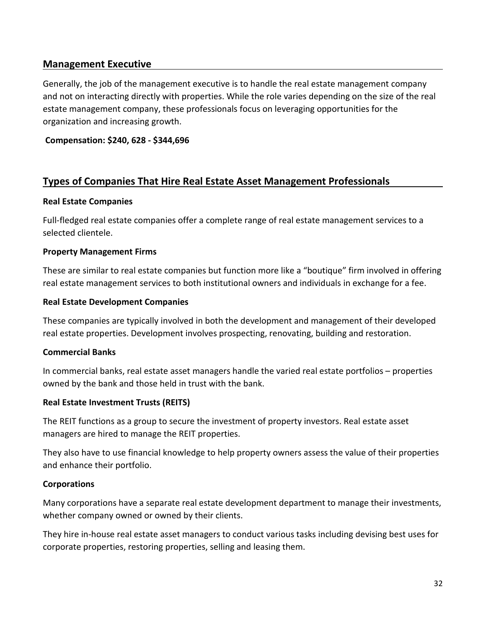### **Management Executive**

Generally, the job of the management executive is to handle the real estate management company and not on interacting directly with properties. While the role varies depending on the size of the real estate management company, these professionals focus on leveraging opportunities for the organization and increasing growth.

**Compensation: \$240, 628 - \$344,696**

### **Types of Companies That Hire Real Estate Asset Management Professionals**

#### **Real Estate Companies**

Full-fledged real estate companies offer a complete range of real estate management services to a selected clientele.

#### **Property Management Firms**

These are similar to real estate companies but function more like a "boutique" firm involved in offering real estate management services to both institutional owners and individuals in exchange for a fee.

#### **Real Estate Development Companies**

These companies are typically involved in both the development and management of their developed real estate properties. Development involves prospecting, renovating, building and restoration.

### **Commercial Banks**

In commercial banks, real estate asset managers handle the varied real estate portfolios – properties owned by the bank and those held in trust with the bank.

### **Real Estate Investment Trusts (REITS)**

The REIT functions as a group to secure the investment of property investors. Real estate asset managers are hired to manage the REIT properties.

They also have to use financial knowledge to help property owners assess the value of their properties and enhance their portfolio.

### **Corporations**

Many corporations have a separate real estate development department to manage their investments, whether company owned or owned by their clients.

They hire in-house real estate asset managers to conduct various tasks including devising best uses for corporate properties, restoring properties, selling and leasing them.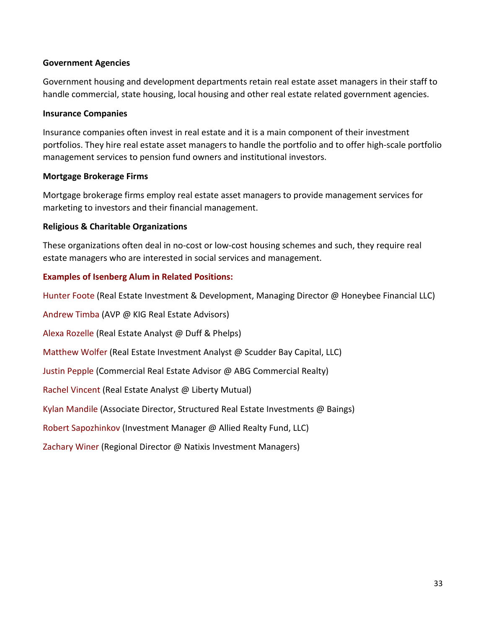#### **Government Agencies**

Government housing and development departments retain real estate asset managers in their staff to handle commercial, state housing, local housing and other real estate related government agencies.

#### **Insurance Companies**

Insurance companies often invest in real estate and it is a main component of their investment portfolios. They hire real estate asset managers to handle the portfolio and to offer high-scale portfolio management services to pension fund owners and institutional investors.

#### **Mortgage Brokerage Firms**

Mortgage brokerage firms employ real estate asset managers to provide management services for marketing to investors and their financial management.

#### **Religious & Charitable Organizations**

These organizations often deal in no-cost or low-cost housing schemes and such, they require real estate managers who are interested in social services and management.

### **Examples of Isenberg Alum in Related Positions:**

Hunter Foote (Real Estate Investment & Development, Managing Director @ Honeybee Financial LLC)

Andrew Timba (AVP @ KIG Real Estate Advisors)

Alexa Rozelle (Real Estate Analyst @ Duff & Phelps)

Matthew Wolfer (Real Estate Investment Analyst @ Scudder Bay Capital, LLC)

Justin Pepple (Commercial Real Estate Advisor @ ABG Commercial Realty)

Rachel Vincent (Real Estate Analyst @ Liberty Mutual)

Kylan Mandile (Associate Director, Structured Real Estate Investments @ Baings)

Robert Sapozhinkov (Investment Manager @ Allied Realty Fund, LLC)

Zachary Winer (Regional Director @ Natixis Investment Managers)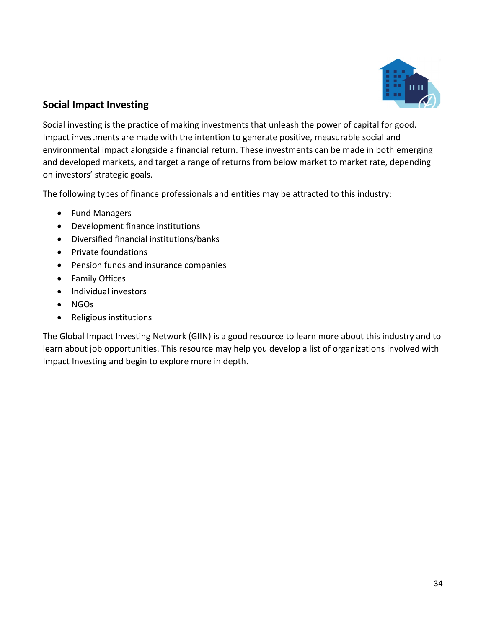

### **Social Impact Investing**

Social investing is the practice of making investments that unleash the power of capital for good. Impact investments are made with the intention to generate positive, measurable social and environmental impact alongside a financial return. These investments can be made in both emerging and developed markets, and target a range of returns from below market to market rate, depending on investors' strategic goals.

The following types of finance professionals and entities may be attracted to this industry:

- Fund Managers
- Development finance institutions
- Diversified financial institutions/banks
- Private foundations
- Pension funds and insurance companies
- Family Offices
- Individual investors
- NGOs
- Religious institutions

The Global Impact Investing Network (GIIN) is a good resource to learn more about this industry and to learn about job opportunities. This resource may help you develop a list of organizations involved with Impact Investing and begin to explore more in depth.